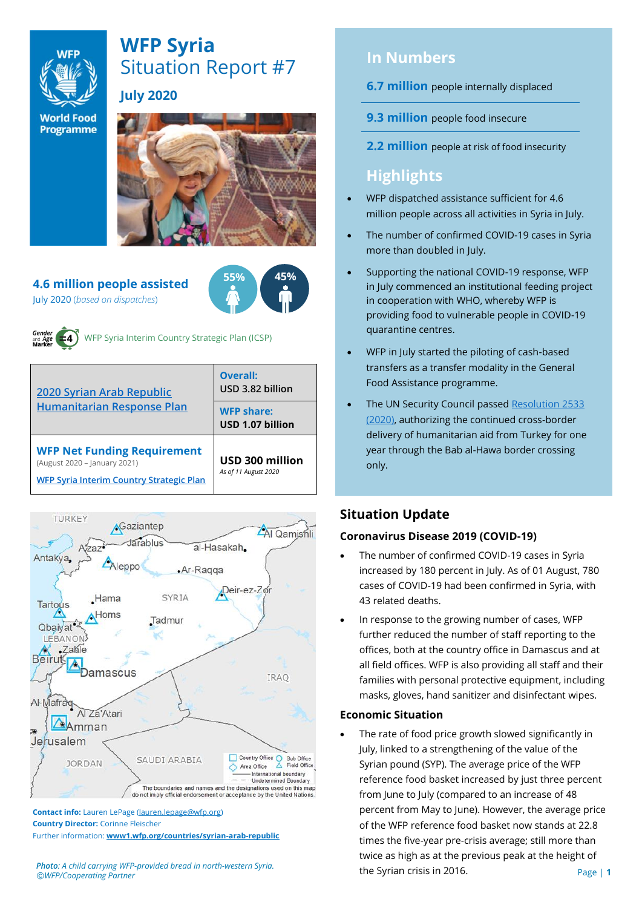

# **WFP Syria** Situation Report #7

**July 2020** 

**World Food Programme** 



#### **4.6 million people assisted**  July 2020 (*based on dispatches*)





WFP Syria Interim Country Strategic Plan (ICSP)

| 2020 Syrian Arab Republic<br><b>Humanitarian Response Plan</b>                                                 | Overall:<br>USD 3.82 billion            |  |  |
|----------------------------------------------------------------------------------------------------------------|-----------------------------------------|--|--|
|                                                                                                                | <b>WFP share:</b><br>USD 1.07 billion   |  |  |
| <b>WFP Net Funding Requirement</b><br>(August 2020 - January 2021)<br>WFP Syria Interim Country Strategic Plan | USD 300 million<br>As of 11 August 2020 |  |  |



**Contact info:** Lauren LePage [\(lauren.lepage@wfp.org\)](mailto:lauren.lepage@wfp.org) **Country Director:** Corinne Fleischer Further information: **[www1.wfp.org/countries/syrian-arab-republic](file:///C:/Users/lauren.lepage/AppData/Local/Microsoft/Windows/INetCache/Content.Outlook/HTRVWXQN/www1.wfp.org/countries/syrian-arab-republic)**

*Photo: A child carrying WFP-provided bread in north-western Syria. ©WFP/Cooperating Partner*

# **In Numbers**

- **6.7 million** people internally displaced
- **9.3 million** people food insecure
- **2.2 million** people at risk of food insecurity

# **Highlights**

- WFP dispatched assistance sufficient for 4.6 million people across all activities in Syria in July.
- The number of confirmed COVID-19 cases in Syria more than doubled in July.
- Supporting the national COVID-19 response, WFP in July commenced an institutional feeding project in cooperation with WHO, whereby WFP is providing food to vulnerable people in COVID-19 quarantine centres.
- WFP in July started the piloting of cash-based transfers as a transfer modality in the General Food Assistance programme.
- The UN Security Council passed Resolution 2533 [\(2020\),](https://undocs.org/en/S/RES/2533(2020)) authorizing the continued cross-border delivery of humanitarian aid from Turkey for one year through the Bab al-Hawa border crossing only.

## **Situation Update**

#### **Coronavirus Disease 2019 (COVID-19)**

- The number of confirmed COVID-19 cases in Syria increased by 180 percent in July. As of 01 August, 780 cases of COVID-19 had been confirmed in Syria, with 43 related deaths.
- In response to the growing number of cases, WFP further reduced the number of staff reporting to the offices, both at the country office in Damascus and at all field offices. WFP is also providing all staff and their families with personal protective equipment, including masks, gloves, hand sanitizer and disinfectant wipes.

#### **Economic Situation**

The rate of food price growth slowed significantly in July, linked to a strengthening of the value of the Syrian pound (SYP). The average price of the WFP reference food basket increased by just three percent from June to July (compared to an increase of 48 percent from May to June). However, the average price of the WFP reference food basket now stands at 22.8 times the five-year pre-crisis average; still more than twice as high as at the previous peak at the height of the Syrian crisis in 2016.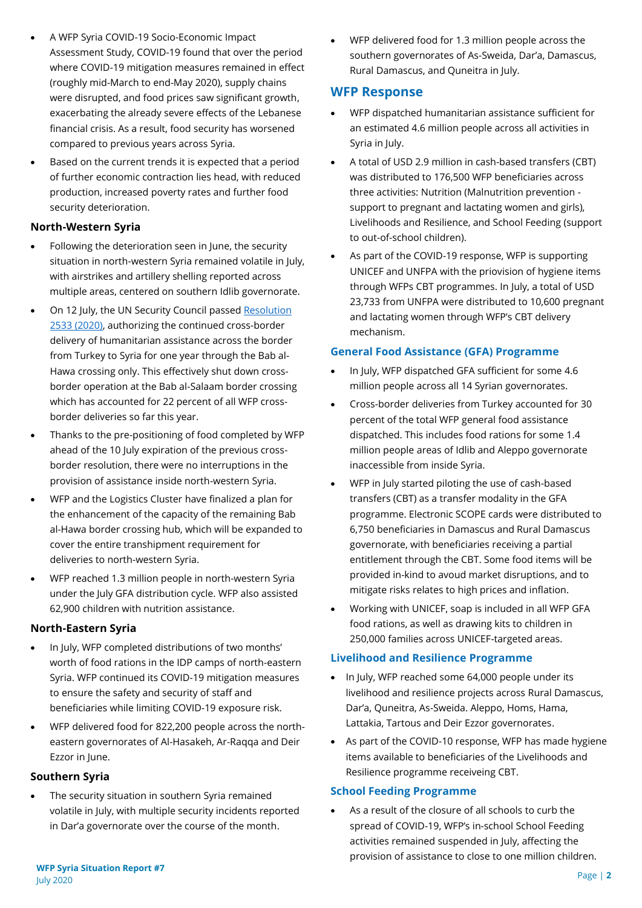- A WFP Syria COVID-19 Socio-Economic Impact Assessment Study, COVID-19 found that over the period where COVID-19 mitigation measures remained in effect (roughly mid-March to end-May 2020), supply chains were disrupted, and food prices saw significant growth, exacerbating the already severe effects of the Lebanese financial crisis. As a result, food security has worsened compared to previous years across Syria.
- Based on the current trends it is expected that a period of further economic contraction lies head, with reduced production, increased poverty rates and further food security deterioration.

#### **North-Western Syria**

- Following the deterioration seen in June, the security situation in north-western Syria remained volatile in July, with airstrikes and artillery shelling reported across multiple areas, centered on southern Idlib governorate.
- On 12 July, the UN Security Council passed Resolution [2533 \(2020\),](https://undocs.org/en/S/RES/2533(2020)) authorizing the continued cross-border delivery of humanitarian assistance across the border from Turkey to Syria for one year through the Bab al-Hawa crossing only. This effectively shut down crossborder operation at the Bab al-Salaam border crossing which has accounted for 22 percent of all WFP crossborder deliveries so far this year.
- Thanks to the pre-positioning of food completed by WFP ahead of the 10 July expiration of the previous crossborder resolution, there were no interruptions in the provision of assistance inside north-western Syria.
- WFP and the Logistics Cluster have finalized a plan for the enhancement of the capacity of the remaining Bab al-Hawa border crossing hub, which will be expanded to cover the entire transhipment requirement for deliveries to north-western Syria.
- WFP reached 1.3 million people in north-western Syria under the July GFA distribution cycle. WFP also assisted 62,900 children with nutrition assistance.

#### **North-Eastern Syria**

- In July, WFP completed distributions of two months' worth of food rations in the IDP camps of north-eastern Syria. WFP continued its COVID-19 mitigation measures to ensure the safety and security of staff and beneficiaries while limiting COVID-19 exposure risk.
- WFP delivered food for 822,200 people across the northeastern governorates of Al-Hasakeh, Ar-Raqqa and Deir Ezzor in June.

#### **Southern Syria**

The security situation in southern Syria remained volatile in July, with multiple security incidents reported in Dar'a governorate over the course of the month.

• WFP delivered food for 1.3 million people across the southern governorates of As-Sweida, Dar'a, Damascus, Rural Damascus, and Quneitra in July.

#### **WFP Response**

- WFP dispatched humanitarian assistance sufficient for an estimated 4.6 million people across all activities in Syria in July.
- A total of USD 2.9 million in cash-based transfers (CBT) was distributed to 176,500 WFP beneficiaries across three activities: Nutrition (Malnutrition prevention support to pregnant and lactating women and girls), Livelihoods and Resilience, and School Feeding (support to out-of-school children).
- As part of the COVID-19 response, WFP is supporting UNICEF and UNFPA with the priovision of hygiene items through WFPs CBT programmes. In July, a total of USD 23,733 from UNFPA were distributed to 10,600 pregnant and lactating women through WFP's CBT delivery mechanism.

#### **General Food Assistance (GFA) Programme**

- In July, WFP dispatched GFA sufficient for some 4.6 million people across all 14 Syrian governorates.
- Cross-border deliveries from Turkey accounted for 30 percent of the total WFP general food assistance dispatched. This includes food rations for some 1.4 million people areas of Idlib and Aleppo governorate inaccessible from inside Syria.
- WFP in July started piloting the use of cash-based transfers (CBT) as a transfer modality in the GFA programme. Electronic SCOPE cards were distributed to 6,750 beneficiaries in Damascus and Rural Damascus governorate, with beneficiaries receiving a partial entitlement through the CBT. Some food items will be provided in-kind to avoud market disruptions, and to mitigate risks relates to high prices and inflation.
- Working with UNICEF, soap is included in all WFP GFA food rations, as well as drawing kits to children in 250,000 families across UNICEF-targeted areas.

#### **Livelihood and Resilience Programme**

- In July, WFP reached some 64,000 people under its livelihood and resilience projects across Rural Damascus, Dar'a, Quneitra, As-Sweida. Aleppo, Homs, Hama, Lattakia, Tartous and Deir Ezzor governorates.
- As part of the COVID-10 response, WFP has made hygiene items available to beneficiaries of the Livelihoods and Resilience programme receiveing CBT.

#### **School Feeding Programme**

As a result of the closure of all schools to curb the spread of COVID-19, WFP's in-school School Feeding activities remained suspended in July, affecting the provision of assistance to close to one million children.